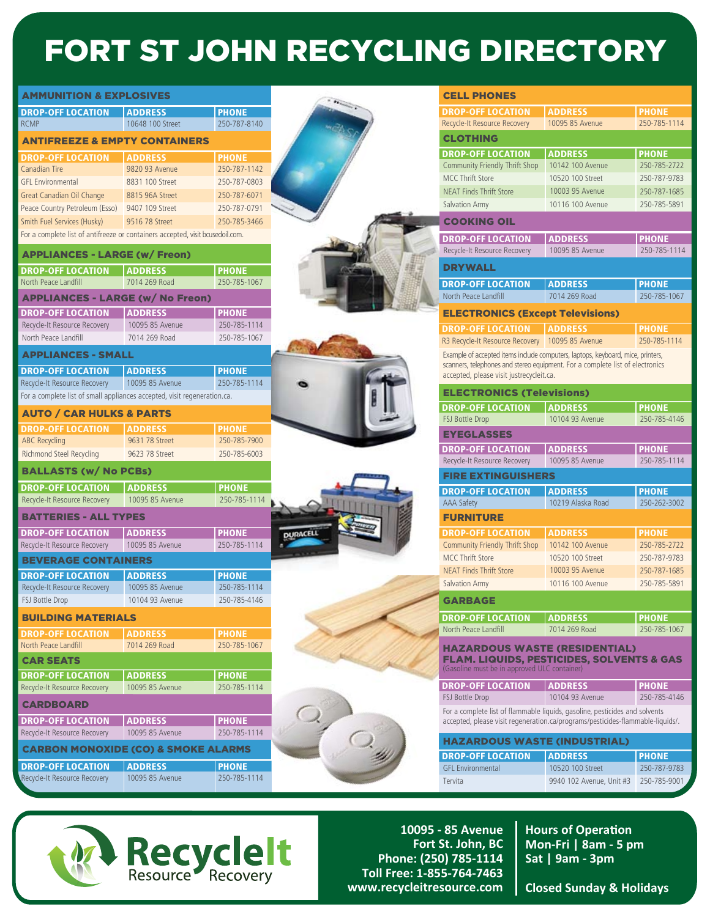## FORT ST JOHN RECYCLING DIRECTORY

| <b>AMMUNITION &amp; EXPLOSIVES</b><br><b>DROP-OFF LOCATION</b><br><b>RCMP</b><br><b>ANTIFREEZE &amp; EMPTY CONTAINERS</b><br><b>DROP-OFF LOCATION</b><br>Canadian Tire<br><b>GFL Environmental</b><br>Great Canadian Oil Change<br>Peace Country Petroleum (Esso) | <b>ADDRESS</b><br>10648 100 Street<br><b>ADDRESS</b> | <b>PHONE</b>                 |
|-------------------------------------------------------------------------------------------------------------------------------------------------------------------------------------------------------------------------------------------------------------------|------------------------------------------------------|------------------------------|
|                                                                                                                                                                                                                                                                   |                                                      | 250-787-8140                 |
|                                                                                                                                                                                                                                                                   |                                                      |                              |
|                                                                                                                                                                                                                                                                   |                                                      |                              |
|                                                                                                                                                                                                                                                                   |                                                      |                              |
|                                                                                                                                                                                                                                                                   |                                                      | <b>PHONE</b>                 |
|                                                                                                                                                                                                                                                                   | 9820 93 Avenue                                       | 250-787-1142                 |
|                                                                                                                                                                                                                                                                   | 8831 100 Street                                      | 250-787-0803                 |
|                                                                                                                                                                                                                                                                   | 8815 96A Street                                      | 250-787-6071                 |
|                                                                                                                                                                                                                                                                   | 9407 109 Street                                      | 250-787-0791                 |
| Smith Fuel Services (Husky)                                                                                                                                                                                                                                       | 9516 78 Street                                       | 250-785-3466                 |
| For a complete list of antifreeze or containers accepted, visit bcusedoil.com.                                                                                                                                                                                    |                                                      |                              |
| <b>APPLIANCES - LARGE (w/ Freon)</b>                                                                                                                                                                                                                              |                                                      |                              |
| <b>DROP-OFF LOCATION</b>                                                                                                                                                                                                                                          | <b>ADDRESS</b>                                       | <b>PHONE</b>                 |
| North Peace Landfill                                                                                                                                                                                                                                              | 7014 269 Road                                        | 250-785-1067                 |
| <b>APPLIANCES - LARGE (w/ No Freon)</b>                                                                                                                                                                                                                           |                                                      |                              |
| <b>DROP-OFF LOCATION</b>                                                                                                                                                                                                                                          | <b>ADDRESS</b>                                       | <b>PHONE</b>                 |
| Recycle-It Resource Recovery                                                                                                                                                                                                                                      | 10095 85 Avenue                                      | 250-785-1114                 |
| North Peace Landfill                                                                                                                                                                                                                                              | 7014 269 Road                                        | 250-785-1067                 |
| <b>APPLIANCES - SMALL</b>                                                                                                                                                                                                                                         |                                                      |                              |
|                                                                                                                                                                                                                                                                   |                                                      |                              |
| <b>DROP-OFF LOCATION</b>                                                                                                                                                                                                                                          | <b>ADDRESS</b><br>10095 85 Avenue                    | <b>PHONE</b><br>250-785-1114 |
| Recycle-It Resource Recovery<br>For a complete list of small appliances accepted, visit regeneration.ca.                                                                                                                                                          |                                                      |                              |
|                                                                                                                                                                                                                                                                   |                                                      |                              |
| <b>AUTO / CAR HULKS &amp; PARTS</b>                                                                                                                                                                                                                               |                                                      |                              |
| <b>DROP-OFF LOCATION</b>                                                                                                                                                                                                                                          | <b>ADDRESS</b>                                       | <b>PHONE</b>                 |
| <b>ABC Recycling</b>                                                                                                                                                                                                                                              | 9631 78 Street                                       | 250-785-7900                 |
| <b>Richmond Steel Recycling</b>                                                                                                                                                                                                                                   | 9623 78 Street                                       | 250-785-6003                 |
| <b>BALLASTS (w/ No PCBs)</b>                                                                                                                                                                                                                                      |                                                      |                              |
| <b>DROP-OFF LOCATION</b>                                                                                                                                                                                                                                          | <b>ADDRESS</b>                                       | <b>PHONE</b>                 |
| Recycle-It Resource Recovery                                                                                                                                                                                                                                      | 10095 85 Avenue                                      | 250-785-1114                 |
| <b>BATTERIES - ALL TYPES</b>                                                                                                                                                                                                                                      |                                                      |                              |
| <b>DROP-OFF LOCATION</b>                                                                                                                                                                                                                                          | <b>ADDRESS</b>                                       | <b>PHONE</b>                 |
| Recycle-It Resource Recovery                                                                                                                                                                                                                                      | 10095 85 Avenue                                      | 250-785-1114                 |
| <b>BEVERAGE CONTAINERS</b>                                                                                                                                                                                                                                        |                                                      |                              |
| <b>DROP-OFF LOCATION</b>                                                                                                                                                                                                                                          | <b>ADDRESS</b>                                       | <b>PHONE</b>                 |
| Recycle-It Resource Recovery                                                                                                                                                                                                                                      | 10095 85 Avenue                                      | 250-785-1114                 |
| FSJ Bottle Drop                                                                                                                                                                                                                                                   | 10104 93 Avenue                                      | 250-785-4146                 |
| <b>BUILDING MATERIALS</b>                                                                                                                                                                                                                                         |                                                      |                              |
| <b>DROP-OFF LOCATION</b>                                                                                                                                                                                                                                          | <b>ADDRESS</b>                                       | <b>PHONE</b>                 |
| North Peace Landfill                                                                                                                                                                                                                                              | 7014 269 Road                                        | 250-785-1067                 |
| <b>CAR SEATS</b>                                                                                                                                                                                                                                                  |                                                      |                              |
| <b>DROP-OFF LOCATION</b>                                                                                                                                                                                                                                          | <b>ADDRESS</b>                                       | <b>PHONE</b>                 |
| Recycle-It Resource Recovery                                                                                                                                                                                                                                      | 10095 85 Avenue                                      | 250-785-1114                 |
|                                                                                                                                                                                                                                                                   |                                                      |                              |
| <b>CARDBOARD</b>                                                                                                                                                                                                                                                  |                                                      |                              |
| <b>DROP-OFF LOCATION</b>                                                                                                                                                                                                                                          | <b>ADDRESS</b>                                       | <b>PHONE</b>                 |
|                                                                                                                                                                                                                                                                   | 10095 85 Avenue                                      | 250-785-1114                 |
| Recycle-It Resource Recovery                                                                                                                                                                                                                                      |                                                      |                              |
| <b>CARBON MONOXIDE (CO) &amp; SMOKE ALARMS</b>                                                                                                                                                                                                                    |                                                      |                              |
| <b>DROP-OFF LOCATION</b>                                                                                                                                                                                                                                          | <b>ADDRESS</b>                                       | <b>PHONE</b>                 |



**10095 - 85 Avenue Fort St. John, BC Phone: (250) 785-1114 Toll Free: 1-855-764-7463 www.recycleitresource.com**

**Hours of Operation Mon-Fri | 8am - 5 pm Sat | 9am - 3pm**

**Closed Sunday & Holidays**